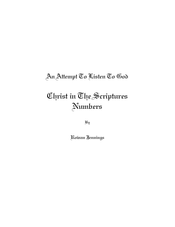## An Attempt To Listen To God

# Christ in The Scriptures Numbers

By

Rowan Jennings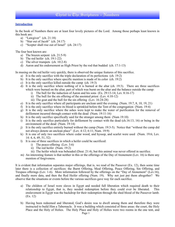#### **Introduction**

In the book of Numbers there are at least four lovely pictures of the Lord. Among those perhaps least known in this book are:

- a) "Lawgiver" (ch. 21:18)
- b) "Star out of Jacob" (ch. 24:17)
- c) "Scepter shall rise out of Israel" (ch. 24:17)

The four best known are:

- a) The brazen serpent (ch. 21:5-9)
- b) The red heifer  $(ch. 19:1-22)$
- c) The silver trumpets (ch. 10:2-8)
- d) Aaron and his endorsement as High Priest by the rod that budded (ch. 17:1-13)

In musing on the red heifer very quickly, there is observed the unique features of this sacrifice.

- a) It is the only sacrifice with the triple declaration of its perfections (ch. 19:2)
- b) It is the only sacrifice where specific mention is made of its color (ch. 19:2)
- c) It is the only sacrifice killed outside the camp (ch. 19:3)
- d) It is the only sacrifice where nothing of it is burned at the altar (ch. 19:3). There are three sacrifices which were burned on the altar, part of which was burnt on the altar and the balance outside the camp:
	- i) The bull for the induction of Aaron and his sons  $(Ex. 29:13-14; Lev. 8:16-17)$
	- ii) The bull for the sin offering of the anointed priest (Lev. 4:10-12)
	- iii) The goat and the bull for the sin offering (Lev. 16:24-28)
- e) It is the only sacrifice where all participants are unclean until the evening (Num. 19:7, 8, 10, 19, 21)
- f) It is the only sacrifice where its blood is sprinkled before the Tent of the congregation (Num. 19:4)
- g) It is the only sacrifice where the ashes were kept to make the water of purification for the removal of defilement incurred through contact with the dead (Num. 19:11-16)
- h) It is the only sacrifice specifically said for the stranger among them (Num 19:10)
- i) It is the only sacrifice particularly for defilement by contact with the dead (ch.16:13, 16) or being in the environment of the dead (Num. 19:14)
- j) It is the only sacrifice entirely burned without the camp (Num. 19:3**-**5). Notice that "without the camp did not always denote an unclean place" (Lev. 4:12; 6:11; Num. 19:9)
- k) It is one of only two sacrifices where cedar wood, and hyssop, and scarlet were used (Num. 19:6; Lev. 14: 4, 6, 49, 51, 52)
- l) It is one of three sacrifices in which a heifer could be sacrificed:
	- i) The peace-offering (Lev. 3:6)
	- ii) The red heifer (Num. 19:2)
	- iii) The heifer which was beheaded (Deut. 21:4), but this animal was never offered in sacrifice.
- m) An interesting feature is that neither in this or the offerings of the Day of Atonement (Lev. 16) is there any mention of forgiveness.

It is evident that information separates major offerings, that is, we read of the Passover (Ex. 12), then some time later there is a collection of sacrifices: the Burnt Offering, Meal Offering, Peace Offering, Sin Offering, and Trespass offerings (Lev. 1-6). More information followed by the offerings on the "Day of Atonement" (Lev.16), and finally more data, and then the Red Heifer offering (Num. 19). Why not just put them altogether? We observe that the situations or events before the various sacrifices gave way for each sacrifice.

- a) The children of Israel were slaves in Egypt and needed full liberation which required death to their relationship to Egypt, that is, they needed redemption before they could ever be liberated. This enslavement in Egypt was the backdrop for their redemption through the shed blood of the Passover lamb. (Ex. 12)
- b) Having been redeemed and liberated, God's desire was to dwell among them and therefore they were instructed to build Him a Tabernacle. It was a building which consisted of three areas: the court, the Holy Place and the Holy of Holies. The Holy Place and Holy of Holies were two rooms in the one tent, and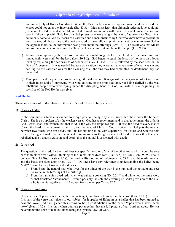### Christ in The Scriptures - Numbers

within the Holy of Holies God dwelt. When the Tabernacle was raised up such was the glory of God that Moses could not enter the Tabernacle (Ex. 40:35). Man must learn that although redeemed, he could not just come to God as he deemed fit, yet God desired communion with man. To enable man to come and stay in fellowship with God, He provided priests who were taught the way of approach to God. Man could only come to God by means of a sacrifice and a man ordained by God who knew how to present the sacrifice to God. It was due to the desire of God to have fellowship with man, yet for man to learn God as the approachable, so the information was given about the offerings (Lev.1-6). The result was that Moses and Aaron were able to come into the Tabernacle and come out and bless the people (Lev. 9:23).

- c) Acting presumptuously the two sons of Aaron sought to go before the Lord with strange fire, and immediately were slain by the Lord (Lev. 10:1-2). God began to teach the lesson of holiness on a lower level by explaining the seriousness of defilement (Lev. 11-15). This is followed by the sacrifices on the Day of Atonement. It was needed because as a nation they were not always aware of what was sin and defiling, so this sacrifice was for the cleansing of all the sins they had committed, or defilement they had contacted.
- d) Time passed and they were en route through the wilderness. It is against the background of a God being in their midst and of journeying with God en route to the promised land, yet being defiled by the way rebellious people who were dying under the discipling hand of God, yet with a new beginning the sacrifice of the Red Heifer was given.

#### **Red Heifer**

There are a series of truths relative to this sacrifice which are to be pondered:

#### **1) It was a heifer**

In the scriptures, a female is exalted to a high position being a type of Israel, and the church the bride of Christ. She is also spoken of as the weaker vessel. God has a government and in that government the order is God, Christ, man, and woman, but that is NOT the way the scriptures put it. It says the head of every man is Christ, the head of the woman is the man, and the head of Christ is God. Notice that God puts the woman between two others who are heads, and this has nothing to do with superiority, for Father and Son are both equal. Being a female the heifer indicates submission to the government of God. It was this that man rebelled against, that sin came in, and death, thus the animal is associated with death.

#### **2) It was red**

The question is why red, for the Lord does not specify the color of any of the other animals? It would be very hard to think of "red" without thinking of the "rams' skins dyed red" (Ex. 25:5), of Esau (Gen. 25:25), Esau's pottage (Gen. 25:30), sins (Isa. 1:18), the Lord in His clothing of judgment (Isa. 63:2), and the scarlet woman and the beast she rides upon (Rev. 17:3-4). Do these have any relevance to understanding the heifer being "red"? To me the emphasis on red indicates:

- a) From Esau, the natural man who lives for the things of the world (the hunt and the pottage) and sees no value in the blessings of the birthright.
- b) From the ram skins dyed red, which was called a covering (Ex. 26:14) and while not the same word as that translated "atonement", it would possibly indicate the covering of God's provision of the man who is the hiding place . . . "A covert from the tempest" (Isa. 32:2).

#### **3) It was without yoke**

Hosea writes: "Ephraim is as an heifer that is taught, and loveth to tread out the corn" (Hos. 10:11). It is the first part of the verse that relates to our subject for it speaks of Ephraim as a heifer that has been trained to bear the yoke. At first glance this seems to be in contradiction to the heifer "upon which never came yoke" (Num. 19:2). It is only when both are put together that the full picture of our Lord emerges. He was never under the yoke of man but lived being the "yokefellow" of God.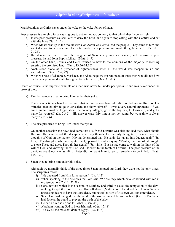#### Manifestations as Christ never under the yoke or the yoke-fellow of man.

Peer pressure is a mighty force causing one to act, or not act, contrary to that which they know as right.

- a) It was peer pressure caused Peter to deny the Lord, and again to stop eating with the Gentiles and eat with the Jews (Gal. 2:12).
- b) When Moses was up in the mount with God Aaron was left to lead the people. They came to him and wanted a god to be made and Aaron fell under peer pressure and made the golden calf. (Ex. 32:1, 21-24).
- c) Herod made an oath to give the daughter of Salome anything she wanted, and because of peer pressure, he had John Baptist killed. (Matt. 14:9)
- d) On the other hand, Joshua and Caleb refused to bow to the opinions of the majority concerning entering the promised land. (Num. 13:26-14:10)
- e) Noah stood alone as a preacher of righteousness when all the world was steeped in sin and wickedness. (Gen. 6:5-9, 22)
- f) When we read of Shadrach, Meshach, and Abed-nego we are reminded of three men who did not bow under peer pressure despite facing the fiery furnace. (Dan. 3:1-21)

Christ of course is the supreme example of a man who never fell under peer pressure and was never under the yoke of men.

a) Family members tried to bring Him under their yoke.

There was a time when his brethren, that is family members who did not believe in Him nor His miracles, taunted him to go to Jerusalem and show Himself. It was a very natural argument, "If you are a miracle worker, forget about the country villages, go to the big city, to Jerusalem, and get a name for yourself" (Jn. 7:3-5). His answer was: "My time is not yet come: but your time is alway ready." (Jn. 7:6)

b) The disciples tried to bring Him under their yoke.

On another occasion the news had come that His friend Lazarus was sick and had died, what should He do? He never asked the disciples what they thought for the only thoughts He wanted was the thoughts of God on the matter. Having determined that, He said: "Let us go into Judaea again" (Jn. 11:7). The disciples, who were quite vocal, opposed this idea saying: "Master, the Jews of late sought to stone Thee, and goest Thou thither again?" (Jn. 11:8). But he had come to walk in the light of the will of God, and knowing the will of God, He went to the tomb of Lazarus. The peer pressure of the disciples could not waylay Him. Peter did not want Him to go to Jerusalem to be killed. (Matt.  $16:21-22$ 

c) Satan tried to bring him under his yoke.

Although we normally think of the three times Satan tempted our Lord, they were not the only times. The scriptures record:

- i)  $\cdot$  "He departed from Him for a season." (Lk. 4:13)
- ii) When speaking to the disciples the Lord said: "Ye are they which have continued with me in my temptations." (Lk. 22:28)
- iii) Consider that which is the second in Matthew and third in Luke, the temptation of the devil seeking to get the Lord to cast Himself down (Matt. 4:5-7; Lk. 4:9-12). It was Satan's unceasing desire to have the Lord dead, but not to let Him of His own volition enter death.
- iv) Since God had pledged that the seed of the woman would bruise his head (Gen. 3:15), Satan had done all he could to prevent the birth of the baby.
- v) He had Cain rise up and kill Abel. (Gen. 4:8)
- vi) Abraham wanting God to bless Ishmael. (Gen. 17:18)
- vii) To slay all the male children in Egypt. (Ex. 1:16)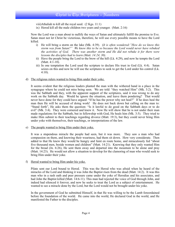viii)Athaliah to kill all the royal seed. (2 Kgs. 11:1)

ix) Herod kill all the male children two years and younger. (Matt. 2:16)

Now the Lord was a man about to nullify the ways of Satan and ultimately fulfill the promise to Eve. Satan must not let Christ be victorious, therefore, he will use every possible means to have the Lord killed.

- i) He will bring a storm on the lake (Mk. 4:39). (*It is often wondered:"How do we know this storm was from Satan?" We know this to be so because the Lord would never have rebuked the activities of God. There was another storm and He did not rebuke it for there were lessons the disciples had to learn (Matt. 14:24, 30).*
- ii) Have the people bring the Lord to the brow of the hill (Lk. 4:29), and now he tempts the Lord (Matt. 4:1-10).
- iii) In one temptation the Lord used the scripture to declare His trust in God (Lk. 4:4). Satan seizes on this and now he will use the scriptures to seek to get the Lord under his control (Lk. 4:10).
- d) The religious rulers wanted to bring Him under their yoke.

It seems evident that the religious leaders planted the man with the withered hand in a place in the synagogue where he could not miss being seen. We are told: "they watched Him" (Mk. 3:2). This was the Sabbath and they, with the apparent support of the scriptures, said it was wrong to do any work on the Sabbath day. Would he ignore the situation, and leave them pondering? That would never have done for they could have argued: "If he has the power why not heal?" If he does heal the man then He will be accused of doing work! He does not back down but calling on the man to: "Stand forth", He asks them the question: "Is it lawful to do good on the Sabbath days or to do evil" (Mk. 3:4). They were cornered and knew it. Now He will show that he is not under their man made regulations for the Sabbath, but in fellowship with God, He heals him (Mk. 3:5). They tried to make Him submit to their teachings regarding divorce (Matt. 19:3), but they could never bring Him under yoke with themselves, their teachings, or interpretations of the law.

e) The people wanted to bring Him under their yoke.

It was a stupendous miracle the people had seen, but it was more. They saw a man who had compassion on them, and knowing their weariness, had them sit down. How very considerate. Then added to that He knew they would be hungry and faint en route home, and miraculously fed "about five thousand men, beside women and children" (Matt. 14:21). Knowing that they only wanted Him for the bread (Jn. 6:26), He sent them away and departed into the mountain to be alone and pray (Matt. 14:23). He would not allow a situation to develop for the clamoring of man who would seek to bring Him under their yoke.

#### f) Herod wanted to bring Him under his yoke.

Pilate sent our Lord bound to Herod. This was the Herod who was afraid when he heard of the miracles of the Lord and thinking it was John the Baptist risen from the dead (Matt. 14:2). It was this man who in a rash oath and peer pressure came under the yoke of Herodias and his associates, and had John the Baptist killed (Matt. 14:6-11). This man had rejected the voice of God through John, and indeed had silenced it forever, and now he seeks to treat the Lord as a subject of entertainment. He wanted to see a miracle done by the Lord, but the Lord would not be brought under his yoke.

In the government of God he submitted Himself, in that He was willing to be the Lamb foreordained before the foundation of the world. He came into the world, He declared God in the world, and He manifested the Father to the disciples.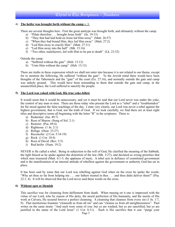#### 4) **The heifer was brought forth without the camp** v. 3.

There are several thoughts here. First the great antitype was brought forth, and ultimately without the camp.

- a) "Pilate therefore . . . brought Jesus forth" (Jn. 19:13)
- b) "They that had laid hold on Jesus led Him away" (Matt. 26:57)
- c) "When they had bound Him, they led Him away" (Matt. 27:2)
- d) "Led Him away to crucify Him" (Matt. 27:31)
- e) "Led Him away into the hall" (Mk. 15:16)
- f) "Two other, malefactors, led with Him to be put to death" (Lk. 23:32)

Outside the camp.

- a) "Suffered without the gate" (Heb. 13:12)
- b) "Unto Him without the camp" (Heb. 13:13)

There are truths in these expression which we shall not enter into because it is not related to our theme, except for to mention the following, He suffered "without the gate". To the Jewish mind there would have been thoughts of the Tabernacle and the "gate" of the court  $(E_{X_1}, 27:16)$ , and normally outside the gate and camp was unholy ground. This would have been astounding to them that outside the gate and camp, in the unsanctified place, the Lord suffered to sanctify the people.

#### **5) The Lord was yoked with God, His true yoke-fellow**

It would seem that it would be unnecessary, and yet it must be said that our Lord never was under the yoke, the control of any man or men. There are those today who present the Lord as a "rebel" and a "troublemaker" for He stood against the false teachings of the day. I state very clearly, our Lord was never a rebel against the highest government, that is God, nor the truth of God. If we look carefully, we find there are at least eight titles and descriptive terms all beginning with the letter "R" in the scriptures. There is:

- a) Redeemer (Isa. 49:7)
- b) Rose of Sharon (Song of Sol. 2:1)
- c) Restorer (Psa. 69:4)
- d) Righteous (1 Jn. 2:1)
- e) Refuge (Deut. 33:27)
- f) Reconciler (2 Cor. 5:18-19)
- g) Rock (1 Cor. 10:4)
- h) Root of David (Rev. 5:5)
- i) Red heifer (Num. 19:2)

NEVER is He called a rebel. Being in subjection to the will of God, He clarified the meaning of the Sabbath, the light blazed as he spoke against the distortion of the law (Mk. 2:27); and declared as wrong priorities that which men treasured (Matt. 6:1-5, the applause of men). A rebel acts in defiance of constituted government and is the manifestation of an internal attitude of rebellion against the government or authority God has set in place.

It has been said by some that our Lord was rebelling against God when on the cross he spoke the words: "Why art thou so far from helping me . . . our fathers trusted in thee . . . and thou didst deliver them?" (Psa. 22:1, 4). It will be observed that the Lord never said these words on the cross.

#### **6) Without spot or blemish**

This sacrifice was for cleansing from defilement from death. When musing on it one is impressed with the virtue of our Lord, who by reason of His deity, the moral perfection of His humanity, and the merits of His work at Calvary, He secured forever a perfect cleansing. A cleansing that cleanses from every sin (1 Jn. 1:7, 9). That meritorious fountain "cleanseth us from all sin" and can "cleanse us from all unrighteousness". Paul writes on the same strain: "And such were some of you: but ye are washed, but ye are sanctified, but ye are justified in the name of the Lord Jesus" (1 Cor. 6:11). Such is His sacrifice that it can: "purge your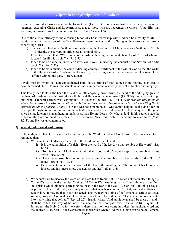conscience from dead works to serve the living God" (Heb. 9:14). John is so thrilled with the wonders of the judgment executing Christ and its fearfulness, that to those who are redeemed he writes: "Unto Him that loved us, and washed us from our sins in His own blood" (Rev. 1:5).

Due to the eternal efficacy of the cleansing blood of Christ, fellowship with God can be a reality of life. It would seem that the writers of the New Testament were musing on this offering as they wrote salient truths concerning Christ.

- a) The sacrifice had to be "without spot" indicating the loveliness of Christ who was "without sin" Heb. 4:15) despite the corrupting influences all around Him.
- b) It had to be such that: "Wherein is no blemish" indicating the internal character of Christ of whom it is stated "In Him is no sin." (1 Jn. 3:5)
- c) It had to be an animal upon which "never came yoke" indicating the conduct of the Saviour who "did no sin." (1 Pet. 2:22)
- d) It had to be slain outside the camp indicating complete fulfillment in the will of God so that the writer to the Hebrews writes: " Wherefore Jesus also, that He might sanctify the people with His own blood, suffered without the gate." (Heb. 13:12)

Lovely man on whom no stain contaminated Him, no distortion of man tainted Him, nothing ever seen or heard tarnished Him. He was immaculate in holiness, impeccable in activity, perfect in fidelity and integrity.

This lovely man took in His hand the hand of a little corpse, glorious truth, the hand of the Almighty grasped the hand of death and death must take its flight, and He was not contaminated (Lk. 8:54). When about to go into Nain, a funeral cortege was leaving and He "touched the bier" (Lk. 7:14), *(This was the receptacle on*  which the deceased lay, akin to a coffin or casket in our terminology. The same term is used when King David *followed in Abner's funeral, 2 Sam. 3:31)* and was not contaminated. One cannot help but feel sadness for the leper, put through no fault of his own in the outside place, and was an untouchable. How many were the years since he had known a human hand in tenderness, then He met Jesus. Oh what a day! In his pathetic state he called on the Lord to: "make me clean". Then we read: "Jesus put forth his hand and touched him" (Matt. 8:2-3), and He was uncontaminated.

#### **7) Scarlet, cedar wood and hyssop**

In these days of blatant disregard for the authority of the Word of God and God Himself, there is a need to be reminded that:

- a) We cannot dare to disobey the word of the Lord but to tremble at it.
	- i) It is the admonition of Isaiah: "Hear the word of the Lord, ye that tremble at His word" (Isa. 66:5)
	- ii) "To this man will I look, even to him that is poor and of a contrite spirit, and trembleth at my Word" (Isa. 66:2)
	- iii) "Then were assembled unto me every one that trembled, at the words of the God of Israel" (Ezra. 9:4; 10:3)
	- iv) Belshazzar trembled at the word of the Lord, the wording is: "The joints of his loins were loosed, and his knees smote one against another". (Dan. 5:6)
- b) We cannot dare to disobey the word of the Lord but to tremble at it. "Touch not the unclean thing" (2 Cor. 6:17). What is the "unclean" thing of 2 Cor. 6:17? Anything that is: "the filthiness of the flesh and spirit"; which hinders "perfecting holiness in the fear of the God" (2 Cor. 7:1). In this passage it is primarily that of attitude, and unifying with that which is contrary to God, and a disturbance of fellowship. It may be that in our darkened state we may not think of defilement as serious as actual sinning, however, God makes it clear that in Jerusalem in the millennial: "There shall in no wise enter into it any thing that defileth" (Rev. 21:27). Isaiah writes: "And an highway shall be there . . . and it shall be called The way of holiness; the unclean shall not pass over it" (Isa. 35:8). Again: "O Jerusalem, the Holy City: for henceforth there shall no more come into thee the uncircumcised and the unclean" (Isa. 52:1). Such verses make it clear that where God dwells there can be no defilement.